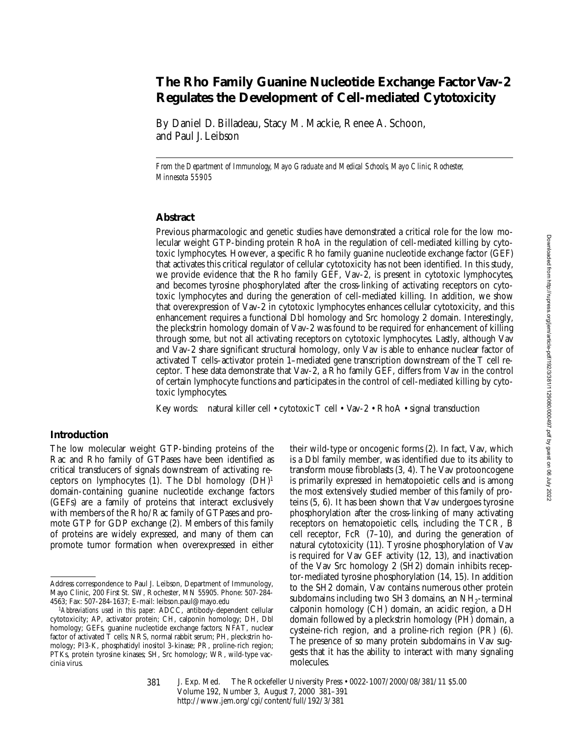# **The Rho Family Guanine Nucleotide Exchange Factor Vav-2 Regulates the Development of Cell-mediated Cytotoxicity**

By Daniel D. Billadeau, Stacy M. Mackie, Renee A. Schoon, and Paul J. Leibson

*From the Department of Immunology, Mayo Graduate and Medical Schools, Mayo Clinic, Rochester, Minnesota 55905*

#### **Abstract**

Previous pharmacologic and genetic studies have demonstrated a critical role for the low molecular weight GTP-binding protein RhoA in the regulation of cell-mediated killing by cytotoxic lymphocytes. However, a specific Rho family guanine nucleotide exchange factor (GEF) that activates this critical regulator of cellular cytotoxicity has not been identified. In this study, we provide evidence that the Rho family GEF, Vav-2, is present in cytotoxic lymphocytes, and becomes tyrosine phosphorylated after the cross-linking of activating receptors on cytotoxic lymphocytes and during the generation of cell-mediated killing. In addition, we show that overexpression of Vav-2 in cytotoxic lymphocytes enhances cellular cytotoxicity, and this enhancement requires a functional Dbl homology and Src homology 2 domain. Interestingly, the pleckstrin homology domain of Vav-2 was found to be required for enhancement of killing through some, but not all activating receptors on cytotoxic lymphocytes. Lastly, although Vav and Vav-2 share significant structural homology, only Vav is able to enhance nuclear factor of activated T cells–activator protein 1–mediated gene transcription downstream of the T cell receptor. These data demonstrate that Vav-2, a Rho family GEF, differs from Vav in the control of certain lymphocyte functions and participates in the control of cell-mediated killing by cytotoxic lymphocytes.

Key words: natural killer cell • cytotoxic T cell • Vav-2 • RhoA • signal transduction

#### **Introduction**

The low molecular weight GTP-binding proteins of the Rac and Rho family of GTPases have been identified as critical transducers of signals downstream of activating receptors on lymphocytes  $(1)$ . The Dbl homology  $(DH)^1$ domain-containing guanine nucleotide exchange factors (GEFs) are a family of proteins that interact exclusively with members of the Rho/Rac family of GTPases and promote GTP for GDP exchange (2). Members of this family of proteins are widely expressed, and many of them can promote tumor formation when overexpressed in either

their wild-type or oncogenic forms (2). In fact, Vav, which is a Dbl family member, was identified due to its ability to transform mouse fibroblasts (3, 4). The Vav protooncogene is primarily expressed in hematopoietic cells and is among the most extensively studied member of this family of proteins (5, 6). It has been shown that Vav undergoes tyrosine phosphorylation after the cross-linking of many activating receptors on hematopoietic cells, including the TCR, B cell receptor,  $FcR$  (7–10), and during the generation of natural cytotoxicity (11). Tyrosine phosphorylation of Vav is required for Vav GEF activity (12, 13), and inactivation of the Vav Src homology 2 (SH2) domain inhibits receptor-mediated tyrosine phosphorylation (14, 15). In addition to the SH2 domain, Vav contains numerous other protein subdomains including two SH3 domains, an  $NH<sub>2</sub>$ -terminal calponin homology (CH) domain, an acidic region, a DH domain followed by a pleckstrin homology (PH) domain, a cysteine-rich region, and a proline-rich region (PR) (6). The presence of so many protein subdomains in Vav suggests that it has the ability to interact with many signaling molecules.

J. Exp. Med. The Rockefeller University Press • 0022-1007/2000/08/381/11 \$5.00 Volume 192, Number 3, August 7, 2000 381–391 http://www.jem.org/cgi/content/full/192/3/381 381

Address correspondence to Paul J. Leibson, Department of Immunology, Mayo Clinic, 200 First St. SW, Rochester, MN 55905. Phone: 507-284- 4563; Fax: 507-284-1637; E-mail: leibson.paul@mayo.edu

<sup>1</sup>*Abbreviations used in this paper:* ADCC, antibody-dependent cellular cytotoxicity; AP, activator protein; CH, calponin homology; DH, Dbl homology; GEFs, guanine nucleotide exchange factors; NFAT, nuclear factor of activated T cells; NRS, normal rabbit serum; PH, pleckstrin homology; PI3-K, phosphatidyl inositol 3-kinase; PR, proline-rich region; PTKs, protein tyrosine kinases; SH, Src homology; WR, wild-type vaccinia virus.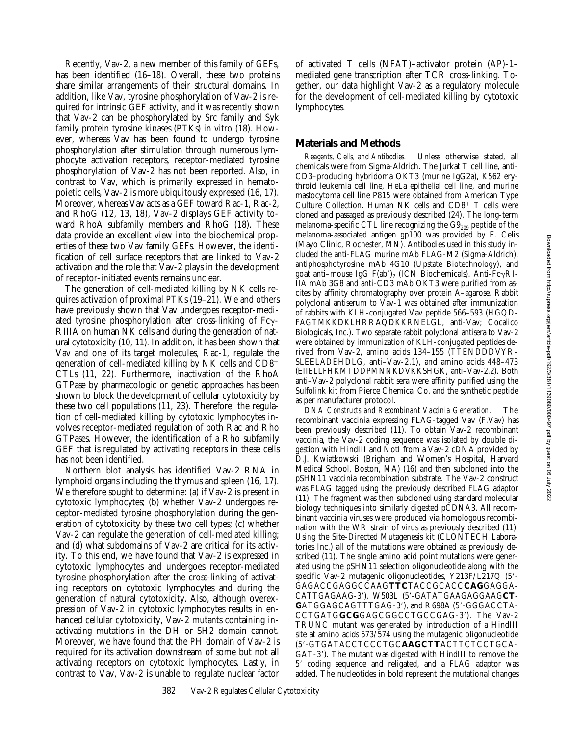Recently, Vav-2, a new member of this family of GEFs, has been identified (16–18). Overall, these two proteins share similar arrangements of their structural domains. In addition, like Vav, tyrosine phosphorylation of Vav-2 is required for intrinsic GEF activity, and it was recently shown that Vav-2 can be phosphorylated by Src family and Syk family protein tyrosine kinases (PTKs) in vitro (18). However, whereas Vav has been found to undergo tyrosine phosphorylation after stimulation through numerous lymphocyte activation receptors, receptor-mediated tyrosine phosphorylation of Vav-2 has not been reported. Also, in contrast to Vav, which is primarily expressed in hematopoietic cells, Vav-2 is more ubiquitously expressed (16, 17). Moreover, whereas Vav acts as a GEF toward Rac-1, Rac-2, and RhoG (12, 13, 18), Vav-2 displays GEF activity toward RhoA subfamily members and RhoG (18). These data provide an excellent view into the biochemical properties of these two Vav family GEFs. However, the identification of cell surface receptors that are linked to Vav-2 activation and the role that Vav-2 plays in the development of receptor-initiated events remains unclear.

The generation of cell-mediated killing by NK cells requires activation of proximal PTKs (19–21). We and others have previously shown that Vav undergoes receptor-mediated tyrosine phosphorylation after cross-linking of  $Fc\gamma$ -RIIIA on human NK cells and during the generation of natural cytotoxicity (10, 11). In addition, it has been shown that Vav and one of its target molecules, Rac-1, regulate the generation of cell-mediated killing by NK cells and  $CD8<sup>+</sup>$ CTLs (11, 22). Furthermore, inactivation of the RhoA GTPase by pharmacologic or genetic approaches has been shown to block the development of cellular cytotoxicity by these two cell populations (11, 23). Therefore, the regulation of cell-mediated killing by cytotoxic lymphocytes involves receptor-mediated regulation of both Rac and Rho GTPases. However, the identification of a Rho subfamily GEF that is regulated by activating receptors in these cells has not been identified.

Northern blot analysis has identified Vav-2 RNA in lymphoid organs including the thymus and spleen (16, 17). We therefore sought to determine: (a) if Vav-2 is present in cytotoxic lymphocytes; (b) whether Vav-2 undergoes receptor-mediated tyrosine phosphorylation during the generation of cytotoxicity by these two cell types; (c) whether Vav-2 can regulate the generation of cell-mediated killing; and (d) what subdomains of Vav-2 are critical for its activity. To this end, we have found that Vav-2 is expressed in cytotoxic lymphocytes and undergoes receptor-mediated tyrosine phosphorylation after the cross-linking of activating receptors on cytotoxic lymphocytes and during the generation of natural cytotoxicity. Also, although overexpression of Vav-2 in cytotoxic lymphocytes results in enhanced cellular cytotoxicity, Vav-2 mutants containing inactivating mutations in the DH or SH2 domain cannot. Moreover, we have found that the PH domain of Vav-2 is required for its activation downstream of some but not all activating receptors on cytotoxic lymphocytes. Lastly, in contrast to Vav, Vav-2 is unable to regulate nuclear factor

of activated T cells (NFAT)–activator protein (AP)-1– mediated gene transcription after TCR cross-linking. Together, our data highlight Vav-2 as a regulatory molecule for the development of cell-mediated killing by cytotoxic lymphocytes.

#### **Materials and Methods**

*Reagents, Cells, and Antibodies.* Unless otherwise stated, all chemicals were from Sigma-Aldrich. The Jurkat T cell line, anti-CD3–producing hybridoma OKT3 (murine IgG2a), K562 erythroid leukemia cell line, HeLa epithelial cell line, and murine mastocytoma cell line P815 were obtained from American Type Culture Collection. Human NK cells and  $CD8<sup>+</sup>$  T cells were cloned and passaged as previously described (24). The long-term melanoma-specific CTL line recognizing the  $G9<sub>209</sub>$  peptide of the melanoma-associated antigen gp100 was provided by E. Celis (Mayo Clinic, Rochester, MN). Antibodies used in this study included the anti-FLAG murine mAb FLAG-M2 (Sigma-Aldrich), antiphosphotyrosine mAb 4G10 (Upstate Biotechnology), and goat anti-mouse IgG  $F(ab')_2$  (ICN Biochemicals). Anti-Fc $\gamma$ RI-IIA mAb 3G8 and anti-CD3 mAb OKT3 were purified from ascites by affinity chromatography over protein A–agarose. Rabbit polyclonal antiserum to Vav-1 was obtained after immunization of rabbits with KLH-conjugated Vav peptide 566–593 (HGQD-FAGTMKKDKLHRRAQDKKRNELGL, anti-Vav; Cocalico Biologicals, Inc.). Two separate rabbit polyclonal antisera to Vav-2 were obtained by immunization of KLH-conjugated peptides derived from Vav-2, amino acids 134–155 (TTENDDDVYR-SLEELADEHDLG, anti–Vav-2.1), and amino acids 448–473 (EIIELLFHKMTDDPMNNKDVKKSHGK, anti–Vav-2.2). Both anti–Vav-2 polyclonal rabbit sera were affinity purified using the Sulfolink kit from Pierce Chemical Co. and the synthetic peptide as per manufacturer protocol.

*DNA Constructs and Recombinant Vaccinia Generation.* The recombinant vaccinia expressing FLAG-tagged Vav (F.Vav) has been previously described (11). To obtain Vav-2 recombinant vaccinia, the Vav-2 coding sequence was isolated by double digestion with HindIII and NotI from a Vav-2 cDNA provided by D.J. Kwiatkowski (Brigham and Women's Hospital, Harvard Medical School, Boston, MA) (16) and then subcloned into the pSHN11 vaccinia recombination substrate. The Vav-2 construct was FLAG tagged using the previously described FLAG adaptor (11). The fragment was then subcloned using standard molecular biology techniques into similarly digested pCDNA3. All recombinant vaccinia viruses were produced via homologous recombination with the WR strain of virus as previously described (11). Using the Site-Directed Mutagenesis kit (CLONTECH Laboratories Inc.) all of the mutations were obtained as previously described (11). The single amino acid point mutations were generated using the pSHN11 selection oligonucleotide along with the specific Vav-2 mutagenic oligonucleotides,  $Y213F/L217Q$  (5'-GAGACCGAGGCCAAG**TTC**TACCGCACC**CAG**GAGGA-CATTGAGAAG-3'), W503L (5'-GATATGAAGAGGAAGCT-GATGGAGCAGTTTGAG-3'), and R698A (5'-GGGACCTA-CCTGATGGCGGAGCGGCCTGCCGAG-3'). The Vav-2 TRUNC mutant was generated by introduction of a HindIII site at amino acids 573/574 using the mutagenic oligonucleotide (59-GTGATACCTCCCTGC**AAGCTT**ACTTCTCCTGCA-GAT-3'). The mutant was digested with HindIII to remove the 5' coding sequence and religated, and a FLAG adaptor was added. The nucleotides in bold represent the mutational changes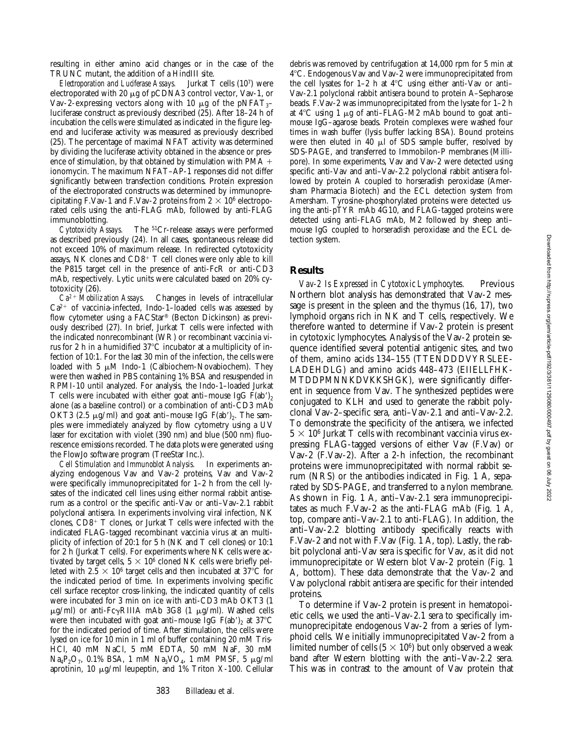resulting in either amino acid changes or in the case of the TRUNC mutant, the addition of a HindIII site.

*Electroporation and Luciferase Assays.* Jurkat T cells (107) were electroporated with 20  $\mu$ g of pCDNA3 control vector, Vav-1, or Vav-2-expressing vectors along with 10  $\mu$ g of the pNFAT<sub>3</sub>luciferase construct as previously described (25). After 18–24 h of incubation the cells were stimulated as indicated in the figure legend and luciferase activity was measured as previously described (25). The percentage of maximal NFAT activity was determined by dividing the luciferase activity obtained in the absence or presence of stimulation, by that obtained by stimulation with PMA  $+$ ionomycin. The maximum NFAT–AP-1 responses did not differ significantly between transfection conditions. Protein expression of the electroporated constructs was determined by immunoprecipitating F.Vav-1 and F.Vav-2 proteins from  $2 \times 10^6$  electroporated cells using the anti-FLAG mAb, followed by anti-FLAG immunoblotting.

*Cytotoxicity Assays.* The 51Cr-release assays were performed as described previously (24). In all cases, spontaneous release did not exceed 10% of maximum release. In redirected cytotoxicity assays, NK clones and  $CD8<sup>+</sup>$  T cell clones were only able to kill the P815 target cell in the presence of anti-FcR or anti-CD3 mAb, respectively. Lytic units were calculated based on 20% cytotoxicity (26).

*Ca2*1 *Mobilization Assays.* Changes in levels of intracellular  $Ca^{2+}$  of vaccinia-infected, Indo-1–loaded cells was assessed by flow cytometer using a FACStar® (Becton Dickinson) as previously described (27). In brief, Jurkat T cells were infected with the indicated nonrecombinant (WR) or recombinant vaccinia virus for 2 h in a humidified 37°C incubator at a multiplicity of infection of 10:1. For the last 30 min of the infection, the cells were loaded with 5  $\mu$ M Indo-1 (Calbiochem-Novabiochem). They were then washed in PBS containing 1% BSA and resuspended in RPMI-10 until analyzed. For analysis, the Indo-1–loaded Jurkat T cells were incubated with either goat anti–mouse IgG  $F(ab')_2$ alone (as a baseline control) or a combination of anti-CD3 mAb OKT3 (2.5  $\mu$ g/ml) and goat anti-mouse IgG F(ab')<sub>2</sub>. The samples were immediately analyzed by flow cytometry using a UV laser for excitation with violet (390 nm) and blue (500 nm) fluorescence emissions recorded. The data plots were generated using the FlowJo software program (TreeStar Inc.).<br>Cell Stimulation and Immunoblot Analysis. In experiments an-

**Cell Stimulation and Immunoblot Analysis.** alyzing endogenous Vav and Vav-2 proteins, Vav and Vav-2 were specifically immunoprecipitated for 1–2 h from the cell lysates of the indicated cell lines using either normal rabbit antiserum as a control or the specific anti-Vav or anti–Vav-2.1 rabbit polyclonal antisera. In experiments involving viral infection, NK clones,  $CD8^+$  T clones, or Jurkat T cells were infected with the indicated FLAG-tagged recombinant vaccinia virus at an multiplicity of infection of 20:1 for 5 h (NK and T cell clones) or 10:1 for 2 h (Jurkat T cells). For experiments where NK cells were activated by target cells,  $5 \times 10^6$  cloned NK cells were briefly pelleted with 2.5  $\times$  10<sup>6</sup> target cells and then incubated at 37<sup>°</sup>C for the indicated period of time. In experiments involving specific cell surface receptor cross-linking, the indicated quantity of cells were incubated for 3 min on ice with anti-CD3 mAb OKT3 (1  $\mu$ g/ml) or anti-Fc $\gamma$ RIIIA mAb 3G8 (1  $\mu$ g/ml). Washed cells were then incubated with goat anti-mouse IgG  $F(ab')$ , at 37<sup>o</sup>C for the indicated period of time. After stimulation, the cells were lysed on ice for 10 min in 1 ml of buffer containing 20 mM Tris-HCl, 40 mM NaCl, 5 mM EDTA, 50 mM NaF, 30 mM  $Na_4P_2O_7$ , 0.1% BSA, 1 mM  $Na_3VO_4$ , 1 mM PMSF, 5  $\mu$ g/ml aprotinin, 10  $\mu$ g/ml leupeptin, and 1% Triton X-100. Cellular

debris was removed by centrifugation at 14,000 rpm for 5 min at 48C. Endogenous Vav and Vav-2 were immunoprecipitated from the cell lysates for  $1-2$  h at  $4^{\circ}$ C using either anti-Vav or anti-Vav-2.1 polyclonal rabbit antisera bound to protein A–Sepharose beads. F.Vav-2 was immunoprecipitated from the lysate for 1–2 h at  $4^{\circ}$ C using 1  $\mu$ g of anti–FLAG-M2 mAb bound to goat anti– mouse IgG–agarose beads. Protein complexes were washed four times in wash buffer (lysis buffer lacking BSA). Bound proteins were then eluted in 40  $\mu$ l of SDS sample buffer, resolved by SDS-PAGE, and transferred to Immobilon-P membranes (Millipore). In some experiments, Vav and Vav-2 were detected using specific anti-Vav and anti–Vav-2.2 polyclonal rabbit antisera followed by protein A coupled to horseradish peroxidase (Amersham Pharmacia Biotech) and the ECL detection system from Amersham. Tyrosine-phosphorylated proteins were detected using the anti-pTYR mAb 4G10, and FLAG-tagged proteins were detected using anti-FLAG mAb, M2 followed by sheep anti– mouse IgG coupled to horseradish peroxidase and the ECL detection system.

#### **Results**

*Vav-2 Is Expressed in Cytotoxic Lymphocytes.* Previous Northern blot analysis has demonstrated that Vav-2 message is present in the spleen and the thymus (16, 17), two lymphoid organs rich in NK and T cells, respectively. We therefore wanted to determine if Vav-2 protein is present in cytotoxic lymphocytes. Analysis of the Vav-2 protein sequence identified several potential antigenic sites, and two of them, amino acids 134–155 (TTENDDDVYRSLEE-LADEHDLG) and amino acids 448–473 (EIIELLFHK-MTDDPMNNKDVKKSHGK), were significantly different in sequence from Vav. The synthesized peptides were conjugated to KLH and used to generate the rabbit polyclonal Vav-2–specific sera, anti–Vav-2.1 and anti–Vav-2.2. To demonstrate the specificity of the antisera, we infected  $5 \times 10^6$  Jurkat T cells with recombinant vaccinia virus expressing FLAG-tagged versions of either Vav (F.Vav) or Vav-2 (F.Vav-2). After a 2-h infection, the recombinant proteins were immunoprecipitated with normal rabbit serum (NRS) or the antibodies indicated in Fig. 1 A, separated by SDS-PAGE, and transferred to a nylon membrane. As shown in Fig. 1 A, anti–Vav-2.1 sera immunoprecipitates as much F.Vav-2 as the anti-FLAG mAb (Fig. 1 A, top, compare anti–Vav-2.1 to anti-FLAG). In addition, the anti–Vav-2.2 blotting antibody specifically reacts with F.Vav-2 and not with F.Vav (Fig. 1 A, top). Lastly, the rabbit polyclonal anti-Vav sera is specific for Vav, as it did not immunoprecipitate or Western blot Vav-2 protein (Fig. 1 A, bottom). These data demonstrate that the Vav-2 and Vav polyclonal rabbit antisera are specific for their intended proteins.

To determine if Vav-2 protein is present in hematopoietic cells, we used the anti–Vav-2.1 sera to specifically immunoprecipitate endogenous Vav-2 from a series of lymphoid cells. We initially immunoprecipitated Vav-2 from a limited number of cells  $(5 \times 10^6)$  but only observed a weak band after Western blotting with the anti–Vav-2.2 sera. This was in contrast to the amount of Vav protein that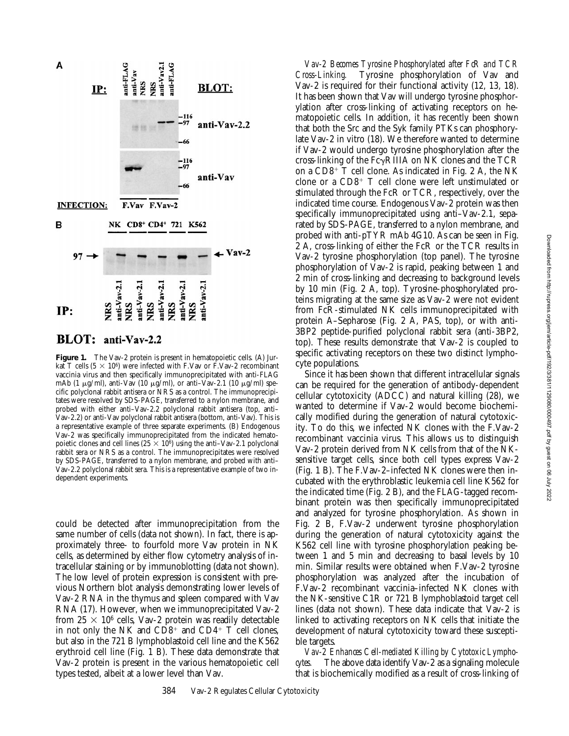

## BLOT: anti-Vav-2.2

Figure 1. The Vav-2 protein is present in hematopoietic cells. (A) Jurkat T cells  $(5 \times 10^6)$  were infected with F.Vav or F.Vav-2 recombinant vaccinia virus and then specifically immunoprecipitated with anti-FLAG mAb (1  $\mu$ g/ml), anti-Vav (10  $\mu$ g/ml), or anti-Vav-2.1 (10  $\mu$ g/ml) specific polyclonal rabbit antisera or NRS as a control. The immunoprecipitates were resolved by SDS-PAGE, transferred to a nylon membrane, and probed with either anti–Vav-2.2 polyclonal rabbit antisera (top, anti– Vav-2.2) or anti-Vav polyclonal rabbit antisera (bottom, anti-Vav). This is a representative example of three separate experiments. (B) Endogenous Vav-2 was specifically immunoprecipitated from the indicated hematopoietic clones and cell lines ( $25 \times 10^6$ ) using the anti–Vav-2.1 polyclonal rabbit sera or NRS as a control. The immunoprecipitates were resolved by SDS-PAGE, transferred to a nylon membrane, and probed with anti– Vav-2.2 polyclonal rabbit sera. This is a representative example of two independent experiments.

could be detected after immunoprecipitation from the same number of cells (data not shown). In fact, there is approximately three- to fourfold more Vav protein in NK cells, as determined by either flow cytometry analysis of intracellular staining or by immunoblotting (data not shown). The low level of protein expression is consistent with previous Northern blot analysis demonstrating lower levels of Vav-2 RNA in the thymus and spleen compared with Vav RNA (17). However, when we immunoprecipitated Vav-2 from  $25 \times 10^6$  cells, Vav-2 protein was readily detectable in not only the NK and  $CD8<sup>+</sup>$  and  $CD4<sup>+</sup>$  T cell clones, but also in the 721 B lymphoblastoid cell line and the K562 erythroid cell line (Fig. 1 B). These data demonstrate that Vav-2 protein is present in the various hematopoietic cell types tested, albeit at a lower level than Vav.

*Vav-2 Becomes Tyrosine Phosphorylated after FcR and TCR Cross-Linking.* Tyrosine phosphorylation of Vav and Vav-2 is required for their functional activity (12, 13, 18). It has been shown that Vav will undergo tyrosine phosphorylation after cross-linking of activating receptors on hematopoietic cells. In addition, it has recently been shown that both the Src and the Syk family PTKs can phosphorylate Vav-2 in vitro (18). We therefore wanted to determine if Vav-2 would undergo tyrosine phosphorylation after the cross-linking of the  $Fc\gamma$ RIIIA on NK clones and the TCR on a  $CD8^+$  T cell clone. As indicated in Fig. 2 A, the NK clone or a  $CD8^+$  T cell clone were left unstimulated or stimulated through the FcR or TCR, respectively, over the indicated time course. Endogenous Vav-2 protein was then specifically immunoprecipitated using anti–Vav-2.1, separated by SDS-PAGE, transferred to a nylon membrane, and probed with anti-pTYR mAb 4G10. As can be seen in Fig. 2 A, cross-linking of either the FcR or the TCR results in Vav-2 tyrosine phosphorylation (top panel). The tyrosine phosphorylation of Vav-2 is rapid, peaking between 1 and 2 min of cross-linking and decreasing to background levels by 10 min (Fig. 2 A, top). Tyrosine-phosphorylated proteins migrating at the same size as Vav-2 were not evident from FcR-stimulated NK cells immunoprecipitated with protein A–Sepharose (Fig. 2 A, PAS, top), or with anti-3BP2 peptide-purified polyclonal rabbit sera (anti-3BP2, top). These results demonstrate that Vav-2 is coupled to specific activating receptors on these two distinct lymphocyte populations.

Since it has been shown that different intracellular signals can be required for the generation of antibody-dependent cellular cytotoxicity (ADCC) and natural killing (28), we wanted to determine if Vav-2 would become biochemically modified during the generation of natural cytotoxicity. To do this, we infected NK clones with the F.Vav-2 recombinant vaccinia virus. This allows us to distinguish Vav-2 protein derived from NK cells from that of the NKsensitive target cells, since both cell types express Vav-2 (Fig. 1 B). The F.Vav-2–infected NK clones were then incubated with the erythroblastic leukemia cell line K562 for the indicated time (Fig. 2 B), and the FLAG-tagged recombinant protein was then specifically immunoprecipitated and analyzed for tyrosine phosphorylation. As shown in Fig. 2 B, F.Vav-2 underwent tyrosine phosphorylation during the generation of natural cytotoxicity against the K562 cell line with tyrosine phosphorylation peaking between 1 and 5 min and decreasing to basal levels by 10 min. Similar results were obtained when F.Vav-2 tyrosine phosphorylation was analyzed after the incubation of F.Vav-2 recombinant vaccinia–infected NK clones with the NK-sensitive C1R or 721 B lymphoblastoid target cell lines (data not shown). These data indicate that Vav-2 is linked to activating receptors on NK cells that initiate the development of natural cytotoxicity toward these susceptible targets.

*Vav-2 Enhances Cell-mediated Killing by Cytotoxic Lymphocytes.* The above data identify Vav-2 as a signaling molecule that is biochemically modified as a result of cross-linking of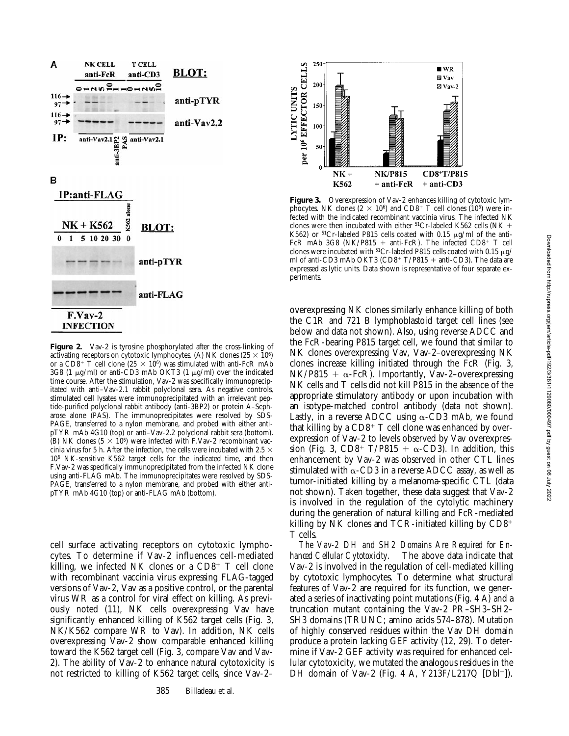

Figure 2. Vav-2 is tyrosine phosphorylated after the cross-linking of activating receptors on cytotoxic lymphocytes. (A) NK clones ( $25 \times 10^6$ ) or a CD8<sup>+</sup> T cell clone (25  $\times$  10<sup>6</sup>) was stimulated with anti-FcR mAb  $3G8$  (1 µg/ml) or anti-CD3 mAb OKT3 (1 µg/ml) over the indicated time course. After the stimulation, Vav-2 was specifically immunoprecipitated with anti–Vav-2.1 rabbit polyclonal sera. As negative controls, stimulated cell lysates were immunoprecipitated with an irrelevant peptide-purified polyclonal rabbit antibody (anti-3BP2) or protein A–Sepharose alone (PAS). The immunoprecipitates were resolved by SDS-PAGE, transferred to a nylon membrane, and probed with either antipTYR mAb 4G10 (top) or anti–Vav-2.2 polyclonal rabbit sera (bottom). (B) NK clones ( $5 \times 10^6$ ) were infected with F.Vav-2 recombinant vaccinia virus for 5 h. After the infection, the cells were incubated with 2.5  $\times$ 106 NK-sensitive K562 target cells for the indicated time, and then F.Vav-2 was specifically immunoprecipitated from the infected NK clone using anti-FLAG mAb. The immunoprecipitates were resolved by SDS-PAGE, transferred to a nylon membrane, and probed with either antipTYR mAb 4G10 (top) or anti-FLAG mAb (bottom).

cell surface activating receptors on cytotoxic lymphocytes. To determine if Vav-2 influences cell-mediated killing, we infected NK clones or a  $CD8^+$  T cell clone with recombinant vaccinia virus expressing FLAG-tagged versions of Vav-2, Vav as a positive control, or the parental virus WR as a control for viral effect on killing. As previously noted (11), NK cells overexpressing Vav have significantly enhanced killing of K562 target cells (Fig. 3, NK/K562 compare WR to Vav). In addition, NK cells overexpressing Vav-2 show comparable enhanced killing toward the K562 target cell (Fig. 3, compare Vav and Vav-2). The ability of Vav-2 to enhance natural cytotoxicity is not restricted to killing of K562 target cells, since Vav-2–



**Figure 3.** Overexpression of Vav-2 enhances killing of cytotoxic lymphocytes. NK clones  $(2 \times 10^6)$  and CD8<sup>+</sup> T cell clones (10<sup>6</sup>) were infected with the indicated recombinant vaccinia virus. The infected NK clones were then incubated with either  $51Cr$ -labeled K562 cells (NK + K562) or  $51Cr$ -labeled P815 cells coated with 0.15  $\mu$ g/ml of the anti-FcR mAb 3G8 (NK/P815 + anti-FcR). The infected  $CD8^+$  T cell clones were incubated with  ${}^{51}Cr$ -labeled P815 cells coated with 0.15  $\mu$ g/ ml of anti-CD3 mAb OKT3 (CD8+  $T/P815$  + anti-CD3). The data are expressed as lytic units. Data shown is representative of four separate experiments.

overexpressing NK clones similarly enhance killing of both the C1R and 721 B lymphoblastoid target cell lines (see below and data not shown). Also, using reverse ADCC and the FcR-bearing P815 target cell, we found that similar to NK clones overexpressing Vav, Vav-2–overexpressing NK clones increase killing initiated through the FcR (Fig. 3,  $NK/P815 + \alpha$ -FcR). Importantly, Vav-2–overexpressing NK cells and T cells did not kill P815 in the absence of the appropriate stimulatory antibody or upon incubation with an isotype-matched control antibody (data not shown). Lastly, in a reverse ADCC using  $\alpha$ -CD3 mAb, we found that killing by a  $CD8^+$  T cell clone was enhanced by overexpression of Vav-2 to levels observed by Vav overexpression (Fig. 3, CD8+ T/P815 +  $\alpha$ -CD3). In addition, this enhancement by Vav-2 was observed in other CTL lines stimulated with  $\alpha$ -CD3 in a reverse ADCC assay, as well as tumor-initiated killing by a melanoma-specific CTL (data not shown). Taken together, these data suggest that Vav-2 is involved in the regulation of the cytolytic machinery during the generation of natural killing and FcR-mediated killing by NK clones and TCR-initiated killing by  $CD8<sup>+</sup>$ T cells.

*The Vav-2 DH and SH2 Domains Are Required for Enhanced Cellular Cytotoxicity.* The above data indicate that Vav-2 is involved in the regulation of cell-mediated killing by cytotoxic lymphocytes. To determine what structural features of Vav-2 are required for its function, we generated a series of inactivating point mutations (Fig. 4 A) and a truncation mutant containing the Vav-2 PR–SH3–SH2– SH3 domains (TRUNC; amino acids 574–878). Mutation of highly conserved residues within the Vav DH domain produce a protein lacking GEF activity (12, 29). To determine if Vav-2 GEF activity was required for enhanced cellular cytotoxicity, we mutated the analogous residues in the DH domain of Vav-2 (Fig. 4 A, Y213F/L217Q [Dbl<sup>-</sup>]).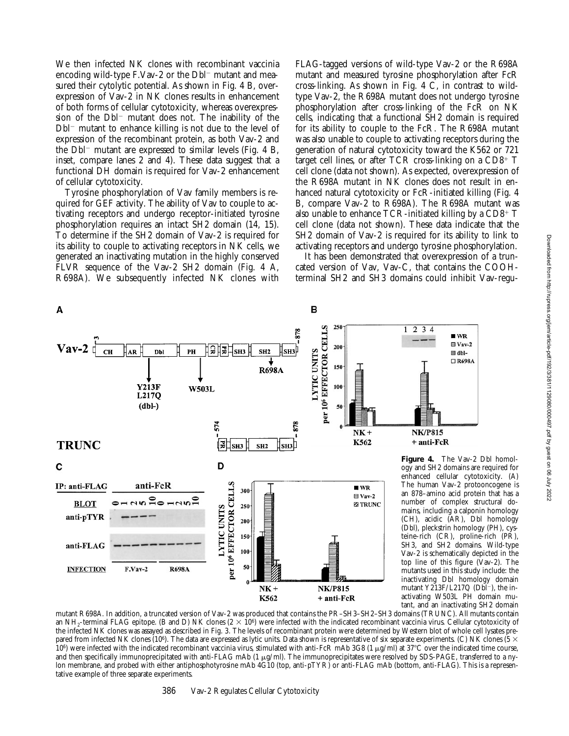We then infected NK clones with recombinant vaccinia encoding wild-type  $F.Vav-2$  or the  $Dbl$ <sup>-</sup> mutant and measured their cytolytic potential. As shown in Fig. 4 B, overexpression of Vav-2 in NK clones results in enhancement of both forms of cellular cytotoxicity, whereas overexpression of the Dbl<sup>-</sup> mutant does not. The inability of the Dbl<sup>-</sup> mutant to enhance killing is not due to the level of expression of the recombinant protein, as both Vav-2 and the  $Db$ <sup>-</sup> mutant are expressed to similar levels (Fig. 4 B, inset, compare lanes 2 and 4). These data suggest that a functional DH domain is required for Vav-2 enhancement of cellular cytotoxicity.

Tyrosine phosphorylation of Vav family members is required for GEF activity. The ability of Vav to couple to activating receptors and undergo receptor-initiated tyrosine phosphorylation requires an intact SH2 domain (14, 15). To determine if the SH2 domain of Vav-2 is required for its ability to couple to activating receptors in NK cells, we generated an inactivating mutation in the highly conserved FLVR sequence of the Vav-2 SH2 domain (Fig. 4 A, R698A). We subsequently infected NK clones with FLAG-tagged versions of wild-type Vav-2 or the R698A mutant and measured tyrosine phosphorylation after FcR cross-linking. As shown in Fig. 4 C, in contrast to wildtype Vav-2, the R698A mutant does not undergo tyrosine phosphorylation after cross-linking of the FcR on NK cells, indicating that a functional SH2 domain is required for its ability to couple to the FcR. The R698A mutant was also unable to couple to activating receptors during the generation of natural cytotoxicity toward the K562 or 721 target cell lines, or after TCR cross-linking on a  $CD8^+$  T cell clone (data not shown). As expected, overexpression of the R698A mutant in NK clones does not result in enhanced natural cytotoxicity or FcR-initiated killing (Fig. 4 B, compare Vav-2 to R698A). The R698A mutant was also unable to enhance TCR-initiated killing by a  $CD8^+$  T cell clone (data not shown). These data indicate that the SH2 domain of Vav-2 is required for its ability to link to activating receptors and undergo tyrosine phosphorylation.

It has been demonstrated that overexpression of a truncated version of Vav, Vav-C, that contains the COOHterminal SH2 and SH3 domains could inhibit Vav-regu-



Downloaded from http://rupress.org/jem/article-pdf/192/3/381/1129080/000497.pdf by guest on 06 July 2022 Downloaded from http://rupress.org/jem/article-pdf/192/3/381/1129080/000497.pdf by guest on 06 July 2022

mutant R698A. In addition, a truncated version of Vav-2 was produced that contains the PR–SH3–SH2–SH3 domains (TRUNC). All mutants contain an NH<sub>2</sub>-terminal FLAG epitope. (B and D) NK clones  $(2 \times 10^6)$  were infected with the indicated recombinant vaccinia virus. Cellular cytotoxicity of the infected NK clones was assayed as described in Fig. 3. The levels of recombinant protein were determined by Western blot of whole cell lysates prepared from infected NK clones (10<sup>6</sup>). The data are expressed as lytic units. Data shown is representative of six separate experiments. (C) NK clones (5  $\times$ 10<sup>6</sup>) were infected with the indicated recombinant vaccinia virus, stimulated with anti-FcR mAb 3G8 (1 µg/ml) at 37°C over the indicated time course, and then specifically immunoprecipitated with anti-FLAG mAb (1  $\mu$ g/ml). The immunoprecipitates were resolved by SDS-PAGE, transferred to a nylon membrane, and probed with either antiphosphotyrosine mAb 4G10 (top, anti-pTYR) or anti-FLAG mAb (bottom, anti-FLAG). This is a representative example of three separate experiments.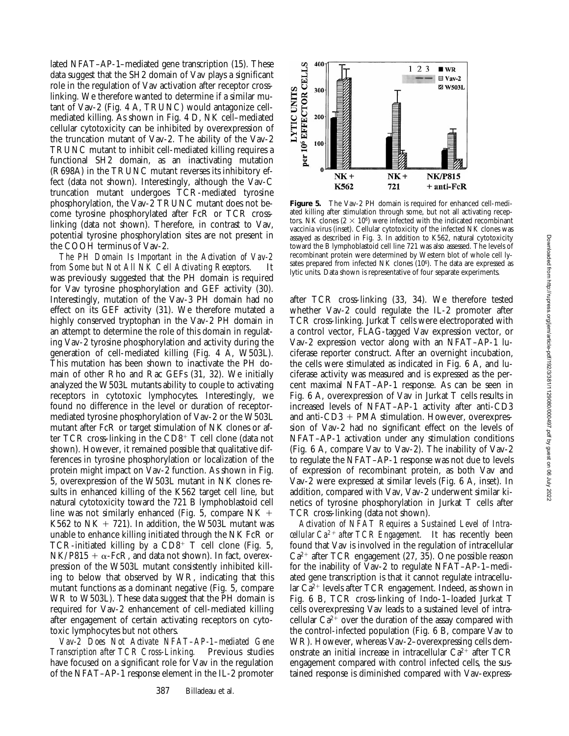lated NFAT–AP-1–mediated gene transcription (15). These data suggest that the SH2 domain of Vav plays a significant role in the regulation of Vav activation after receptor crosslinking. We therefore wanted to determine if a similar mutant of Vav-2 (Fig. 4 A, TRUNC) would antagonize cellmediated killing. As shown in Fig. 4 D, NK cell–mediated cellular cytotoxicity can be inhibited by overexpression of the truncation mutant of Vav-2. The ability of the Vav-2 TRUNC mutant to inhibit cell-mediated killing requires a functional SH2 domain, as an inactivating mutation (R698A) in the TRUNC mutant reverses its inhibitory effect (data not shown). Interestingly, although the Vav-C truncation mutant undergoes TCR-mediated tyrosine phosphorylation, the Vav-2 TRUNC mutant does not become tyrosine phosphorylated after FcR or TCR crosslinking (data not shown). Therefore, in contrast to Vav, potential tyrosine phosphorylation sites are not present in the COOH terminus of Vav-2.

*The PH Domain Is Important in the Activation of Vav-2 from Some but Not All NK Cell Activating Receptors.* It was previously suggested that the PH domain is required for Vav tyrosine phosphorylation and GEF activity (30). Interestingly, mutation of the Vav-3 PH domain had no effect on its GEF activity (31). We therefore mutated a highly conserved tryptophan in the Vav-2 PH domain in an attempt to determine the role of this domain in regulating Vav-2 tyrosine phosphorylation and activity during the generation of cell-mediated killing (Fig. 4 A, W503L). This mutation has been shown to inactivate the PH domain of other Rho and Rac GEFs (31, 32). We initially analyzed the W503L mutants ability to couple to activating receptors in cytotoxic lymphocytes. Interestingly, we found no difference in the level or duration of receptormediated tyrosine phosphorylation of Vav-2 or the W503L mutant after FcR or target stimulation of NK clones or after TCR cross-linking in the  $CD8<sup>+</sup>$  T cell clone (data not shown). However, it remained possible that qualitative differences in tyrosine phosphorylation or localization of the protein might impact on Vav-2 function. As shown in Fig. 5, overexpression of the W503L mutant in NK clones results in enhanced killing of the K562 target cell line, but natural cytotoxicity toward the 721 B lymphoblastoid cell line was not similarly enhanced (Fig. 5, compare  $NK +$ K562 to NK + 721). In addition, the W503L mutant was unable to enhance killing initiated through the NK FcR or TCR-initiated killing by a  $CD8^+$  T cell clone (Fig. 5, NK/P815 +  $\alpha$ -FcR, and data not shown). In fact, overexpression of the W503L mutant consistently inhibited killing to below that observed by WR, indicating that this mutant functions as a dominant negative (Fig. 5, compare WR to W503L). These data suggest that the PH domain is required for Vav-2 enhancement of cell-mediated killing after engagement of certain activating receptors on cytotoxic lymphocytes but not others.

*Vav-2 Does Not Activate NFAT–AP-1–mediated Gene Transcription after TCR Cross-Linking.* Previous studies have focused on a significant role for Vav in the regulation of the NFAT–AP-1 response element in the IL-2 promoter



**Figure 5.** The Vav-2 PH domain is required for enhanced cell-mediated killing after stimulation through some, but not all activating receptors. NK clones ( $2 \times 10^6$ ) were infected with the indicated recombinant vaccinia virus (inset). Cellular cytotoxicity of the infected NK clones was assayed as described in Fig. 3. In addition to K562, natural cytotoxicity toward the B lymphoblastoid cell line 721 was also assessed. The levels of recombinant protein were determined by Western blot of whole cell lysates prepared from infected NK clones (10<sup>6</sup>). The data are expressed as lytic units. Data shown is representative of four separate experiments.

after TCR cross-linking (33, 34). We therefore tested whether Vav-2 could regulate the IL-2 promoter after TCR cross-linking. Jurkat T cells were electroporated with a control vector, FLAG-tagged Vav expression vector, or Vav-2 expression vector along with an NFAT–AP-1 luciferase reporter construct. After an overnight incubation, the cells were stimulated as indicated in Fig. 6 A, and luciferase activity was measured and is expressed as the percent maximal NFAT–AP-1 response. As can be seen in Fig. 6 A, overexpression of Vav in Jurkat T cells results in increased levels of NFAT–AP-1 activity after anti-CD3 and anti- $CD3 + PMA$  stimulation. However, overexpression of Vav-2 had no significant effect on the levels of NFAT–AP-1 activation under any stimulation conditions (Fig. 6 A, compare Vav to Vav-2). The inability of Vav-2 to regulate the NFAT–AP-1 response was not due to levels of expression of recombinant protein, as both Vav and Vav-2 were expressed at similar levels (Fig. 6 A, inset). In addition, compared with Vav, Vav-2 underwent similar kinetics of tyrosine phosphorylation in Jurkat T cells after TCR cross-linking (data not shown).

*Activation of NFAT Requires a Sustained Level of Intracellular*  $Ca^{2+}$  *after TCR Engagement.* It has recently been found that Vav is involved in the regulation of intracellular  $Ca^{2+}$  after TCR engagement (27, 35). One possible reason for the inability of Vav-2 to regulate NFAT–AP-1–mediated gene transcription is that it cannot regulate intracellular  $Ca^{2+}$  levels after TCR engagement. Indeed, as shown in Fig. 6 B, TCR cross-linking of Indo-1–loaded Jurkat T cells overexpressing Vav leads to a sustained level of intracellular  $Ca^{2+}$  over the duration of the assay compared with the control-infected population (Fig. 6 B, compare Vav to WR). However, whereas Vav-2–overexpressing cells demonstrate an initial increase in intracellular  $Ca^{2+}$  after TCR engagement compared with control infected cells, the sustained response is diminished compared with Vav-express-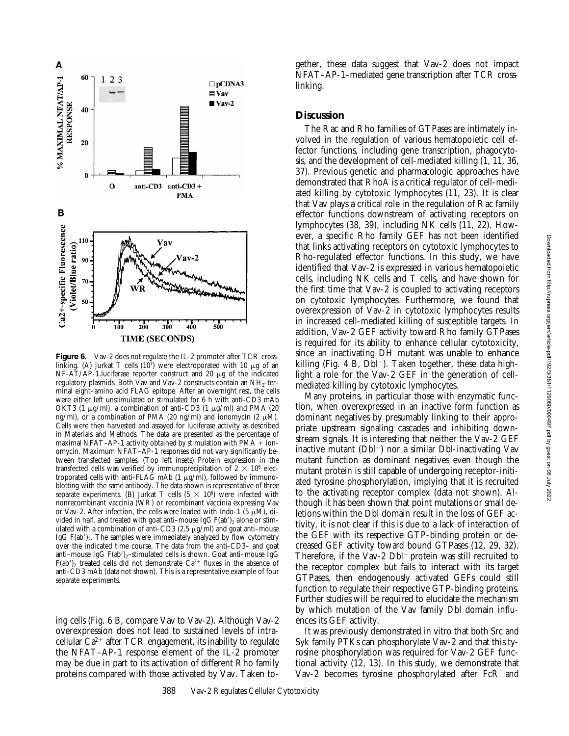

% MAXIMAL NFAT/AP-1

B

Ca2+-specific Fluorescence

(Violet/Blue ratio)

**RESPONSE** 

linking. (A) Jurkat T cells  $(10^7)$  were electroporated with 10  $\mu$ g of an  $NF-AT/AP-1$ .luciferase reporter construct and 20  $\mu$ g of the indicated regulatory plasmids. Both Vav and Vav-2 constructs contain an  $NH<sub>2</sub>$ -terminal eight–amino acid FLAG epitope. After an overnight rest, the cells were either left unstimulated or stimulated for 6 h with anti-CD3 mAb OKT3 (1  $\mu$ g/ml), a combination of anti-CD3 (1  $\mu$ g/ml) and PMA (20 ng/ml), or a combination of PMA (20 ng/ml) and ionomycin (2  $\mu$ M). Cells were then harvested and assayed for luciferase activity as described in Materials and Methods. The data are presented as the percentage of maximal NFAT–AP-1 activity obtained by stimulation with  $PMA + ion$ omycin. Maximum NFAT–AP-1 responses did not vary significantly between transfected samples. (Top left insets) Protein expression in the transfected cells was verified by immunoprecipitation of  $2 \times 10^6$  electroporated cells with anti-FLAG mAb  $(1 \mu g/ml)$ , followed by immunoblotting with the same antibody. The data shown is representative of three separate experiments. (B) Jurkat T cells  $(5 \times 10^6)$  were infected with nonrecombinant vaccinia (WR) or recombinant vaccinia expressing Vav or Vav-2. After infection, the cells were loaded with Indo-1 (5  $\mu$ M), divided in half, and treated with goat anti-mouse IgG  $F(ab')_2$  alone or stimulated with a combination of anti-CD3 (2.5  $\mu$ g/ml) and goat anti-mouse IgG  $F(ab')_2$ . The samples were immediately analyzed by flow cytometry over the indicated time course. The data from the anti-CD3– and goat anti–mouse IgG  $F(ab')_{2}$ –stimulated cells is shown. Goat anti–mouse IgG  $F(ab')_2$  treated cells did not demonstrate Ca<sup>2+</sup> fluxes in the absence of anti-CD3 mAb (data not shown). This is a representative example of four separate experiments.

ing cells (Fig. 6 B, compare Vav to Vav-2). Although Vav-2 overexpression does not lead to sustained levels of intracellular  $Ca^{2+}$  after TCR engagement, its inability to regulate the NFAT–AP-1 response element of the IL-2 promoter may be due in part to its activation of different Rho family proteins compared with those activated by Vav. Taken together, these data suggest that Vav-2 does not impact NFAT–AP-1–mediated gene transcription after TCR crosslinking.

#### **Discussion**

The Rac and Rho families of GTPases are intimately involved in the regulation of various hematopoietic cell effector functions, including gene transcription, phagocytosis, and the development of cell-mediated killing (1, 11, 36, 37). Previous genetic and pharmacologic approaches have demonstrated that RhoA is a critical regulator of cell-mediated killing by cytotoxic lymphocytes (11, 23). It is clear that Vav plays a critical role in the regulation of Rac family effector functions downstream of activating receptors on lymphocytes (38, 39), including NK cells (11, 22). However, a specific Rho family GEF has not been identified that links activating receptors on cytotoxic lymphocytes to Rho-regulated effector functions. In this study, we have identified that Vav-2 is expressed in various hematopoietic cells, including NK cells and T cells, and have shown for the first time that Vav-2 is coupled to activating receptors on cytotoxic lymphocytes. Furthermore, we found that overexpression of Vav-2 in cytotoxic lymphocytes results in increased cell-mediated killing of susceptible targets. In addition, Vav-2 GEF activity toward Rho family GTPases is required for its ability to enhance cellular cytotoxicity, since an inactivating DH mutant was unable to enhance killing (Fig. 4 B,  $D\bar{b}l^{-}$ ). Taken together, these data highlight a role for the Vav-2 GEF in the generation of cellmediated killing by cytotoxic lymphocytes.

Many proteins, in particular those with enzymatic function, when overexpressed in an inactive form function as dominant negatives by presumably linking to their appropriate upstream signaling cascades and inhibiting downstream signals. It is interesting that neither the Vav-2 GEF inactive mutant  $(Dbl^-)$  nor a similar Dbl-inactivating Vav mutant function as dominant negatives even though the mutant protein is still capable of undergoing receptor-initiated tyrosine phosphorylation, implying that it is recruited to the activating receptor complex (data not shown). Although it has been shown that point mutations or small deletions within the Dbl domain result in the loss of GEF activity, it is not clear if this is due to a lack of interaction of the GEF with its respective GTP-binding protein or decreased GEF activity toward bound GTPases (12, 29, 32). Therefore, if the Vav-2  $Dbl$  protein was still recruited to the receptor complex but fails to interact with its target GTPases, then endogenously activated GEFs could still function to regulate their respective GTP-binding proteins. Further studies will be required to elucidate the mechanism by which mutation of the Vav family Dbl domain influences its GEF activity.

It was previously demonstrated in vitro that both Src and Syk family PTKs can phosphorylate Vav-2 and that this tyrosine phosphorylation was required for Vav-2 GEF functional activity (12, 13). In this study, we demonstrate that Vav-2 becomes tyrosine phosphorylated after FcR and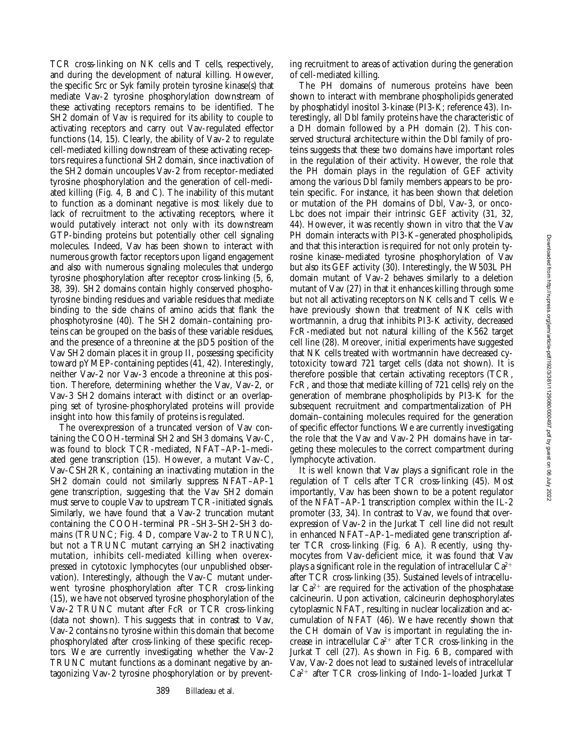TCR cross-linking on NK cells and T cells, respectively, and during the development of natural killing. However, the specific Src or Syk family protein tyrosine kinase(s) that mediate Vav-2 tyrosine phosphorylation downstream of these activating receptors remains to be identified. The SH2 domain of Vav is required for its ability to couple to activating receptors and carry out Vav-regulated effector functions (14, 15). Clearly, the ability of Vav-2 to regulate cell-mediated killing downstream of these activating receptors requires a functional SH2 domain, since inactivation of the SH2 domain uncouples Vav-2 from receptor-mediated tyrosine phosphorylation and the generation of cell-mediated killing (Fig. 4, B and C). The inability of this mutant to function as a dominant negative is most likely due to lack of recruitment to the activating receptors, where it would putatively interact not only with its downstream GTP-binding proteins but potentially other cell signaling molecules. Indeed, Vav has been shown to interact with numerous growth factor receptors upon ligand engagement and also with numerous signaling molecules that undergo tyrosine phosphorylation after receptor cross-linking (5, 6, 38, 39). SH2 domains contain highly conserved phosphotyrosine binding residues and variable residues that mediate binding to the side chains of amino acids that flank the phosphotyrosine (40). The SH2 domain–containing proteins can be grouped on the basis of these variable residues, and the presence of a threonine at the  $\beta$ D5 position of the Vav SH2 domain places it in group II, possessing specificity toward pYMEP-containing peptides (41, 42). Interestingly, neither Vav-2 nor Vav-3 encode a threonine at this position. Therefore, determining whether the Vav, Vav-2, or Vav-3 SH2 domains interact with distinct or an overlapping set of tyrosine-phosphorylated proteins will provide insight into how this family of proteins is regulated.

The overexpression of a truncated version of Vav containing the COOH-terminal SH2 and SH3 domains, Vav-C, was found to block TCR-mediated, NFAT–AP-1–mediated gene transcription (15). However, a mutant Vav-C, Vav-CSH2RK, containing an inactivating mutation in the SH2 domain could not similarly suppress NFAT–AP-1 gene transcription, suggesting that the Vav SH2 domain must serve to couple Vav to upstream TCR-initiated signals. Similarly, we have found that a Vav-2 truncation mutant containing the COOH-terminal PR–SH3–SH2–SH3 domains (TRUNC; Fig. 4 D, compare Vav-2 to TRUNC), but not a TRUNC mutant carrying an SH2 inactivating mutation, inhibits cell-mediated killing when overexpressed in cytotoxic lymphocytes (our unpublished observation). Interestingly, although the Vav-C mutant underwent tyrosine phosphorylation after TCR cross-linking (15), we have not observed tyrosine phosphorylation of the Vav-2 TRUNC mutant after FcR or TCR cross-linking (data not shown). This suggests that in contrast to Vav, Vav-2 contains no tyrosine within this domain that become phosphorylated after cross-linking of these specific receptors. We are currently investigating whether the Vav-2 TRUNC mutant functions as a dominant negative by antagonizing Vav-2 tyrosine phosphorylation or by preventing recruitment to areas of activation during the generation of cell-mediated killing.

The PH domains of numerous proteins have been shown to interact with membrane phospholipids generated by phosphatidyl inositol 3-kinase (PI3-K; reference 43). Interestingly, all Dbl family proteins have the characteristic of a DH domain followed by a PH domain (2). This conserved structural architecture within the Dbl family of proteins suggests that these two domains have important roles in the regulation of their activity. However, the role that the PH domain plays in the regulation of GEF activity among the various Dbl family members appears to be protein specific. For instance, it has been shown that deletion or mutation of the PH domains of Dbl, Vav-3, or onco-Lbc does not impair their intrinsic GEF activity (31, 32, 44). However, it was recently shown in vitro that the Vav PH domain interacts with PI3-K–generated phospholipids, and that this interaction is required for not only protein tyrosine kinase–mediated tyrosine phosphorylation of Vav but also its GEF activity (30). Interestingly, the W503L PH domain mutant of Vav-2 behaves similarly to a deletion mutant of Vav (27) in that it enhances killing through some but not all activating receptors on NK cells and T cells. We have previously shown that treatment of NK cells with wortmannin, a drug that inhibits PI3-K activity, decreased FcR-mediated but not natural killing of the K562 target cell line (28). Moreover, initial experiments have suggested that NK cells treated with wortmannin have decreased cytotoxicity toward 721 target cells (data not shown). It is therefore possible that certain activating receptors (TCR, FcR, and those that mediate killing of 721 cells) rely on the generation of membrane phospholipids by PI3-K for the subsequent recruitment and compartmentalization of PH domain–containing molecules required for the generation of specific effector functions. We are currently investigating the role that the Vav and Vav-2 PH domains have in targeting these molecules to the correct compartment during lymphocyte activation.

It is well known that Vav plays a significant role in the regulation of T cells after TCR cross-linking (45). Most importantly, Vav has been shown to be a potent regulator of the NFAT–AP-1 transcription complex within the IL-2 promoter (33, 34). In contrast to Vav, we found that overexpression of Vav-2 in the Jurkat T cell line did not result in enhanced NFAT–AP-1–mediated gene transcription after TCR cross-linking (Fig. 6 A). Recently, using thymocytes from Vav-deficient mice, it was found that Vav plays a significant role in the regulation of intracellular  $Ca^{2+}$ after TCR cross-linking (35). Sustained levels of intracellular  $Ca^{2+}$  are required for the activation of the phosphatase calcineurin. Upon activation, calcineurin dephosphorylates cytoplasmic NFAT, resulting in nuclear localization and accumulation of NFAT (46). We have recently shown that the CH domain of Vav is important in regulating the increase in intracellular  $Ca^{2+}$  after TCR cross-linking in the Jurkat T cell (27). As shown in Fig. 6 B, compared with Vav, Vav-2 does not lead to sustained levels of intracellular  $Ca^{2+}$  after TCR cross-linking of Indo-1-loaded Jurkat T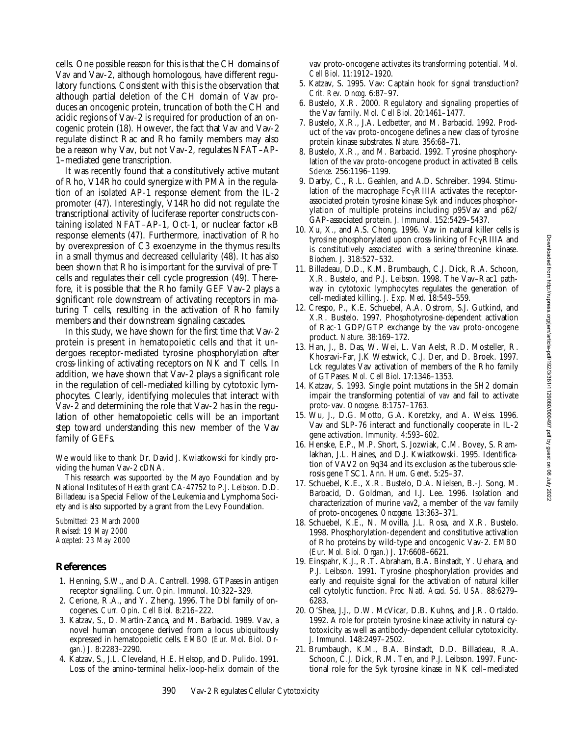cells. One possible reason for this is that the CH domains of Vav and Vav-2, although homologous, have different regulatory functions. Consistent with this is the observation that although partial deletion of the CH domain of Vav produces an oncogenic protein, truncation of both the CH and acidic regions of Vav-2 is required for production of an oncogenic protein (18). However, the fact that Vav and Vav-2 regulate distinct Rac and Rho family members may also be a reason why Vav, but not Vav-2, regulates NFAT–AP-1–mediated gene transcription.

It was recently found that a constitutively active mutant of Rho, V14Rho could synergize with PMA in the regulation of an isolated AP-1 response element from the IL-2 promoter (47). Interestingly, V14Rho did not regulate the transcriptional activity of luciferase reporter constructs containing isolated NFAT–AP-1, Oct-1, or nuclear factor  $\kappa$ B response elements (47). Furthermore, inactivation of Rho by overexpression of C3 exoenzyme in the thymus results in a small thymus and decreased cellularity (48). It has also been shown that Rho is important for the survival of pre-T cells and regulates their cell cycle progression (49). Therefore, it is possible that the Rho family GEF Vav-2 plays a significant role downstream of activating receptors in maturing T cells, resulting in the activation of Rho family members and their downstream signaling cascades.

In this study, we have shown for the first time that Vav-2 protein is present in hematopoietic cells and that it undergoes receptor-mediated tyrosine phosphorylation after cross-linking of activating receptors on NK and T cells. In addition, we have shown that Vav-2 plays a significant role in the regulation of cell-mediated killing by cytotoxic lymphocytes. Clearly, identifying molecules that interact with Vav-2 and determining the role that Vav-2 has in the regulation of other hematopoietic cells will be an important step toward understanding this new member of the Vav family of GEFs.

We would like to thank Dr. David J. Kwiatkowski for kindly providing the human Vav-2 cDNA.

This research was supported by the Mayo Foundation and by National Institutes of Health grant CA-47752 to P.J. Leibson. D.D. Billadeau is a Special Fellow of the Leukemia and Lymphoma Society and is also supported by a grant from the Levy Foundation.

*Submitted: 23 March 2000 Revised: 19 May 2000 Accepted: 23 May 2000*

### **References**

- 1. Henning, S.W., and D.A. Cantrell. 1998. GTPases in antigen receptor signalling. *Curr. Opin. Immunol*. 10:322–329.
- 2. Cerione, R.A., and Y. Zheng. 1996. The Dbl family of oncogenes. *Curr. Opin. Cell Biol*. 8:216–222.
- 3. Katzav, S., D. Martin-Zanca, and M. Barbacid. 1989. Vav, a novel human oncogene derived from a locus ubiquitously expressed in hematopoietic cells. *EMBO (Eur. Mol. Biol. Organ.) J.* 8:2283–2290.
- 4. Katzav, S., J.L. Cleveland, H.E. Helsop, and D. Pulido. 1991. Loss of the amino-terminal helix-loop-helix domain of the

vav proto-oncogene activates its transforming potential. *Mol. Cell Biol*. 11:1912–1920.

- 5. Katzav, S. 1995. Vav: Captain hook for signal transduction? *Crit. Rev. Oncog*. 6:87–97.
- 6. Bustelo, X.R. 2000. Regulatory and signaling properties of the Vav family. *Mol. Cell Biol*. 20:1461–1477.
- 7. Bustelo, X.R., J.A. Ledbetter, and M. Barbacid. 1992. Product of the *vav* proto-oncogene defines a new class of tyrosine protein kinase substrates. *Nature.* 356:68–71.
- 8. Bustelo, X.R., and M. Barbacid. 1992. Tyrosine phosphorylation of the *vav* proto-oncogene product in activated B cells. *Science.* 256:1196–1199.
- 9. Darby, C., R.L. Geahlen, and A.D. Schreiber. 1994. Stimulation of the macrophage  $Fc\gamma RIIIA$  activates the receptorassociated protein tyrosine kinase Syk and induces phosphorylation of multiple proteins including p95Vav and p62/ GAP-associated protein. *J. Immunol*. 152:5429–5437.
- 10. Xu, X., and A.S. Chong. 1996. Vav in natural killer cells is tyrosine phosphorylated upon cross-linking of  $Fc\gammaRIIIA$  and is constitutively associated with a serine/threonine kinase. *Biochem. J*. 318:527–532.
- 11. Billadeau, D.D., K.M. Brumbaugh, C.J. Dick, R.A. Schoon, X.R. Bustelo, and P.J. Leibson. 1998. The Vav–Rac1 pathway in cytotoxic lymphocytes regulates the generation of cell-mediated killing. *J. Exp. Med*. 18:549–559.
- 12. Crespo, P., K.E. Schuebel, A.A. Ostrom, S.J. Gutkind, and X.R. Bustelo. 1997. Phosphotyrosine-dependent activation of Rac-1 GDP/GTP exchange by the *vav* proto-oncogene product. *Nature.* 38:169–172.
- 13. Han, J., B. Das, W. Wei, L. Van Aelst, R.D. Mosteller, R. Khosravi-Far, J.K Westwick, C.J. Der, and D. Broek. 1997. Lck regulates Vav activation of members of the Rho family of GTPases. *Mol. Cell Biol*. 17:1346–1353.
- 14. Katzav, S. 1993. Single point mutations in the SH2 domain impair the transforming potential of *vav* and fail to activate proto-vav. *Oncogene.* 8:1757–1763.
- 15. Wu, J., D.G. Motto, G.A. Koretzky, and A. Weiss. 1996. Vav and SLP-76 interact and functionally cooperate in IL-2 gene activation. *Immunity.* 4:593–602.
- 16. Henske, E.P., M.P. Short, S. Jozwiak, C.M. Bovey, S. Ramlakhan, J.L. Haines, and D.J. Kwiatkowski. 1995. Identification of VAV2 on 9q34 and its exclusion as the tuberous sclerosis gene TSC1. *Ann. Hum. Genet*. 5:25–37.
- 17. Schuebel, K.E., X.R. Bustelo, D.A. Nielsen, B.-J. Song, M. Barbacid, D. Goldman, and I.J. Lee. 1996. Isolation and characterization of murine *vav*2, a member of the *vav* family of proto-oncogenes. *Oncogene.* 13:363–371.
- 18. Schuebel, K.E., N. Movilla, J.L. Rosa, and X.R. Bustelo. 1998. Phosphorylation-dependent and constitutive activation of Rho proteins by wild-type and oncogenic Vav-2. *EMBO (Eur. Mol. Biol. Organ.) J*. 17:6608–6621.
- 19. Einspahr, K.J., R.T. Abraham, B.A. Binstadt, Y. Uehara, and P.J. Leibson. 1991. Tyrosine phosphorylation provides and early and requisite signal for the activation of natural killer cell cytolytic function. *Proc. Natl. Acad. Sci. USA.* 88:6279– 6283.
- 20. O'Shea, J.J., D.W. McVicar, D.B. Kuhns, and J.R. Ortaldo. 1992. A role for protein tyrosine kinase activity in natural cytotoxicity as well as antibody-dependent cellular cytotoxicity. *J. Immunol*. 148:2497–2502.
- 21. Brumbaugh, K.M., B.A. Binstadt, D.D. Billadeau, R.A. Schoon, C.J. Dick, R.M. Ten, and P.J. Leibson. 1997. Functional role for the Syk tyrosine kinase in NK cell–mediated